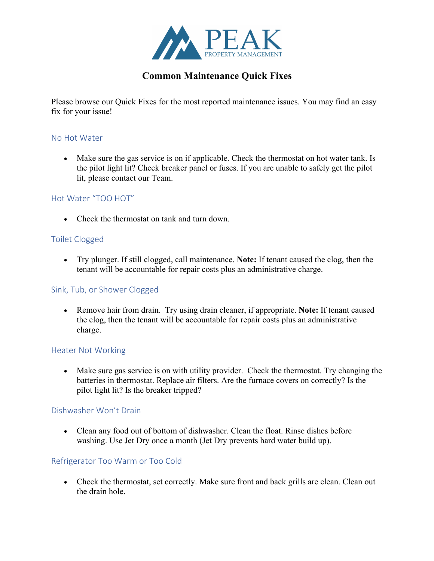

# **Common Maintenance Quick Fixes**

Please browse our Quick Fixes for the most reported maintenance issues. You may find an easy fix for your issue!

### No Hot Water

• Make sure the gas service is on if applicable. Check the thermostat on hot water tank. Is the pilot light lit? Check breaker panel or fuses. If you are unable to safely get the pilot lit, please contact our Team.

### Hot Water "TOO HOT"

• Check the thermostat on tank and turn down.

## Toilet Clogged

• Try plunger. If still clogged, call maintenance. **Note:** If tenant caused the clog, then the tenant will be accountable for repair costs plus an administrative charge.

### Sink, Tub, or Shower Clogged

• Remove hair from drain. Try using drain cleaner, if appropriate. **Note:** If tenant caused the clog, then the tenant will be accountable for repair costs plus an administrative charge.

### Heater Not Working

• Make sure gas service is on with utility provider. Check the thermostat. Try changing the batteries in thermostat. Replace air filters. Are the furnace covers on correctly? Is the pilot light lit? Is the breaker tripped?

### Dishwasher Won't Drain

• Clean any food out of bottom of dishwasher. Clean the float. Rinse dishes before washing. Use Jet Dry once a month (Jet Dry prevents hard water build up).

### Refrigerator Too Warm or Too Cold

• Check the thermostat, set correctly. Make sure front and back grills are clean. Clean out the drain hole.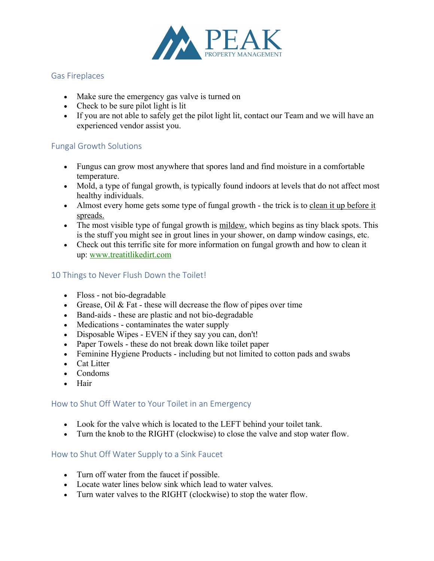

### Gas Fireplaces

- Make sure the emergency gas valve is turned on
- Check to be sure pilot light is lit
- If you are not able to safely get the pilot light lit, contact our Team and we will have an experienced vendor assist you.

## Fungal Growth Solutions

- Fungus can grow most anywhere that spores land and find moisture in a comfortable temperature.
- Mold, a type of fungal growth, is typically found indoors at levels that do not affect most healthy individuals.
- Almost every home gets some type of fungal growth the trick is to clean it up before it spreads.
- The most visible type of fungal growth is mildew, which begins as tiny black spots. This is the stuff you might see in grout lines in your shower, on damp window casings, etc.
- Check out this terrific site for more information on fungal growth and how to clean it up: www.treatitlikedirt.com

## 10 Things to Never Flush Down the Toilet!

- Floss not bio-degradable
- Grease, Oil & Fat these will decrease the flow of pipes over time
- Band-aids these are plastic and not bio-degradable
- Medications contaminates the water supply
- Disposable Wipes EVEN if they say you can, don't!
- Paper Towels these do not break down like toilet paper
- Feminine Hygiene Products including but not limited to cotton pads and swabs
- Cat Litter
- Condoms
- Hair

### How to Shut Off Water to Your Toilet in an Emergency

- Look for the valve which is located to the LEFT behind your toilet tank.
- Turn the knob to the RIGHT (clockwise) to close the valve and stop water flow.

### How to Shut Off Water Supply to a Sink Faucet

- Turn off water from the faucet if possible.
- Locate water lines below sink which lead to water valves.
- Turn water valves to the RIGHT (clockwise) to stop the water flow.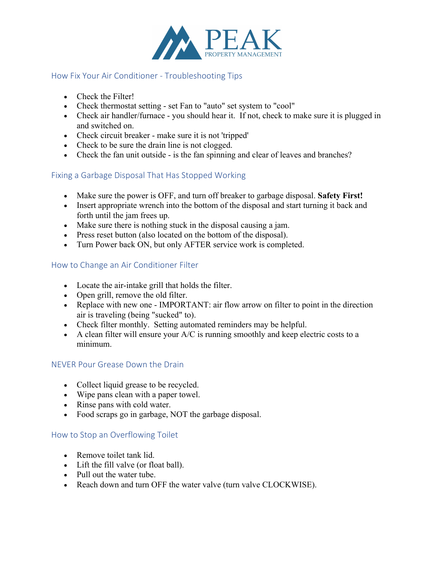

### How Fix Your Air Conditioner - Troubleshooting Tips

- Check the Filter!
- Check thermostat setting set Fan to "auto" set system to "cool"
- Check air handler/furnace you should hear it. If not, check to make sure it is plugged in and switched on.
- Check circuit breaker make sure it is not 'tripped'
- Check to be sure the drain line is not clogged.
- Check the fan unit outside is the fan spinning and clear of leaves and branches?

## Fixing a Garbage Disposal That Has Stopped Working

- Make sure the power is OFF, and turn off breaker to garbage disposal. **Safety First!**
- Insert appropriate wrench into the bottom of the disposal and start turning it back and forth until the jam frees up.
- Make sure there is nothing stuck in the disposal causing a jam.
- Press reset button (also located on the bottom of the disposal).
- Turn Power back ON, but only AFTER service work is completed.

## How to Change an Air Conditioner Filter

- Locate the air-intake grill that holds the filter.
- Open grill, remove the old filter.
- Replace with new one IMPORTANT: air flow arrow on filter to point in the direction air is traveling (being "sucked" to).
- Check filter monthly. Setting automated reminders may be helpful.
- A clean filter will ensure your  $A/C$  is running smoothly and keep electric costs to a minimum.

### NEVER Pour Grease Down the Drain

- Collect liquid grease to be recycled.
- Wipe pans clean with a paper towel.
- Rinse pans with cold water.
- Food scraps go in garbage, NOT the garbage disposal.

### How to Stop an Overflowing Toilet

- Remove toilet tank lid.
- Lift the fill valve (or float ball).
- Pull out the water tube.
- Reach down and turn OFF the water valve (turn valve CLOCKWISE).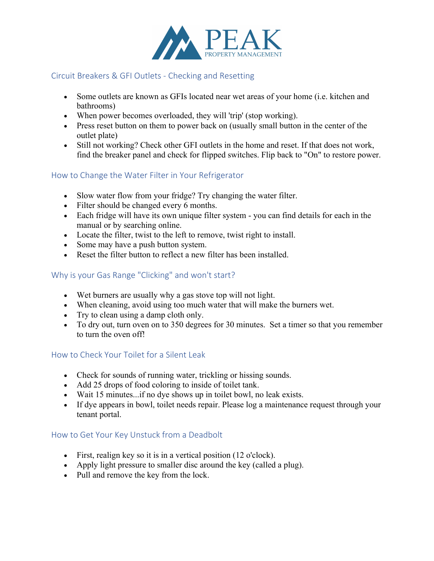

### Circuit Breakers & GFI Outlets - Checking and Resetting

- Some outlets are known as GFIs located near wet areas of your home (i.e. kitchen and bathrooms)
- When power becomes overloaded, they will 'trip' (stop working).
- Press reset button on them to power back on (usually small button in the center of the outlet plate)
- Still not working? Check other GFI outlets in the home and reset. If that does not work, find the breaker panel and check for flipped switches. Flip back to "On" to restore power.

## How to Change the Water Filter in Your Refrigerator

- Slow water flow from your fridge? Try changing the water filter.
- Filter should be changed every 6 months.
- Each fridge will have its own unique filter system you can find details for each in the manual or by searching online.
- Locate the filter, twist to the left to remove, twist right to install.
- Some may have a push button system.
- Reset the filter button to reflect a new filter has been installed.

# Why is your Gas Range "Clicking" and won't start?

- Wet burners are usually why a gas stove top will not light.
- When cleaning, avoid using too much water that will make the burners wet.
- Try to clean using a damp cloth only.
- To dry out, turn oven on to 350 degrees for 30 minutes. Set a timer so that you remember to turn the oven off!

### How to Check Your Toilet for a Silent Leak

- Check for sounds of running water, trickling or hissing sounds.
- Add 25 drops of food coloring to inside of toilet tank.
- Wait 15 minutes...if no dye shows up in toilet bowl, no leak exists.
- If dye appears in bowl, toilet needs repair. Please log a maintenance request through your tenant portal.

## How to Get Your Key Unstuck from a Deadbolt

- First, realign key so it is in a vertical position (12 o'clock).
- Apply light pressure to smaller disc around the key (called a plug).
- Pull and remove the key from the lock.